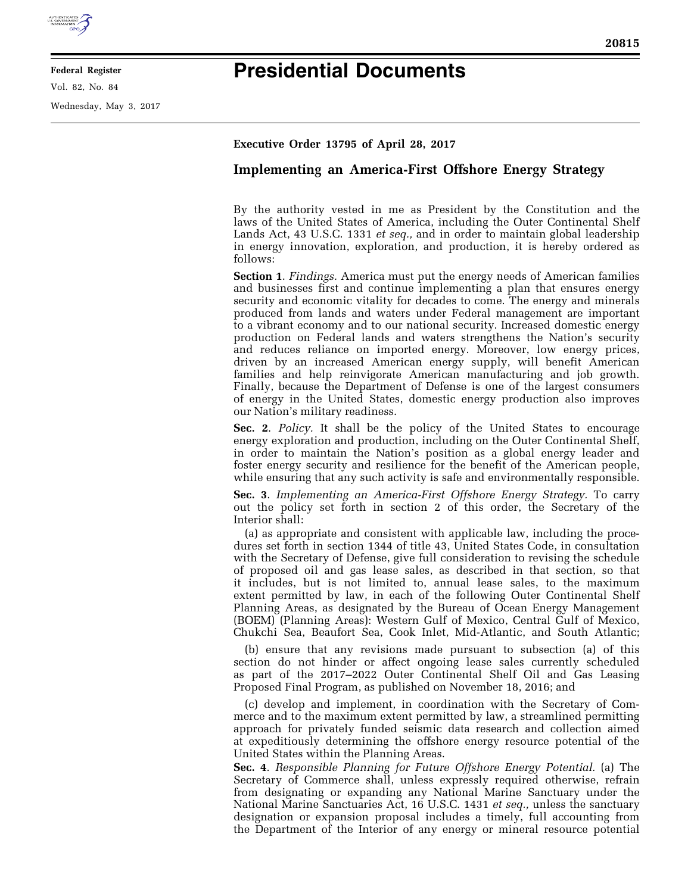

## **Federal Register**

Vol. 82, No. 84

Wednesday, May 3, 2017

## **Presidential Documents**

## **Executive Order 13795 of April 28, 2017**

## **Implementing an America-First Offshore Energy Strategy**

By the authority vested in me as President by the Constitution and the laws of the United States of America, including the Outer Continental Shelf Lands Act, 43 U.S.C. 1331 *et seq.,* and in order to maintain global leadership in energy innovation, exploration, and production, it is hereby ordered as follows:

**Section 1**. *Findings.* America must put the energy needs of American families and businesses first and continue implementing a plan that ensures energy security and economic vitality for decades to come. The energy and minerals produced from lands and waters under Federal management are important to a vibrant economy and to our national security. Increased domestic energy production on Federal lands and waters strengthens the Nation's security and reduces reliance on imported energy. Moreover, low energy prices, driven by an increased American energy supply, will benefit American families and help reinvigorate American manufacturing and job growth. Finally, because the Department of Defense is one of the largest consumers of energy in the United States, domestic energy production also improves our Nation's military readiness.

**Sec. 2**. *Policy.* It shall be the policy of the United States to encourage energy exploration and production, including on the Outer Continental Shelf, in order to maintain the Nation's position as a global energy leader and foster energy security and resilience for the benefit of the American people, while ensuring that any such activity is safe and environmentally responsible.

**Sec. 3**. *Implementing an America-First Offshore Energy Strategy.* To carry out the policy set forth in section 2 of this order, the Secretary of the Interior shall:

(a) as appropriate and consistent with applicable law, including the procedures set forth in section 1344 of title 43, United States Code, in consultation with the Secretary of Defense, give full consideration to revising the schedule of proposed oil and gas lease sales, as described in that section, so that it includes, but is not limited to, annual lease sales, to the maximum extent permitted by law, in each of the following Outer Continental Shelf Planning Areas, as designated by the Bureau of Ocean Energy Management (BOEM) (Planning Areas): Western Gulf of Mexico, Central Gulf of Mexico, Chukchi Sea, Beaufort Sea, Cook Inlet, Mid-Atlantic, and South Atlantic;

(b) ensure that any revisions made pursuant to subsection (a) of this section do not hinder or affect ongoing lease sales currently scheduled as part of the 2017–2022 Outer Continental Shelf Oil and Gas Leasing Proposed Final Program, as published on November 18, 2016; and

(c) develop and implement, in coordination with the Secretary of Commerce and to the maximum extent permitted by law, a streamlined permitting approach for privately funded seismic data research and collection aimed at expeditiously determining the offshore energy resource potential of the United States within the Planning Areas.

**Sec. 4**. *Responsible Planning for Future Offshore Energy Potential.* (a) The Secretary of Commerce shall, unless expressly required otherwise, refrain from designating or expanding any National Marine Sanctuary under the National Marine Sanctuaries Act, 16 U.S.C. 1431 *et seq.,* unless the sanctuary designation or expansion proposal includes a timely, full accounting from the Department of the Interior of any energy or mineral resource potential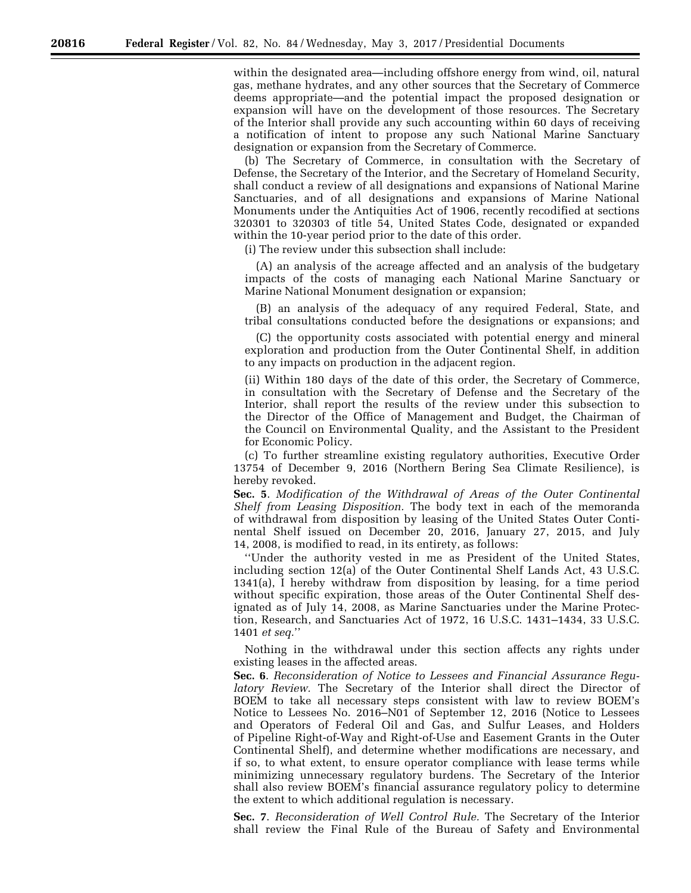within the designated area—including offshore energy from wind, oil, natural gas, methane hydrates, and any other sources that the Secretary of Commerce deems appropriate—and the potential impact the proposed designation or expansion will have on the development of those resources. The Secretary of the Interior shall provide any such accounting within 60 days of receiving a notification of intent to propose any such National Marine Sanctuary designation or expansion from the Secretary of Commerce.

(b) The Secretary of Commerce, in consultation with the Secretary of Defense, the Secretary of the Interior, and the Secretary of Homeland Security, shall conduct a review of all designations and expansions of National Marine Sanctuaries, and of all designations and expansions of Marine National Monuments under the Antiquities Act of 1906, recently recodified at sections 320301 to 320303 of title 54, United States Code, designated or expanded within the 10-year period prior to the date of this order.

(i) The review under this subsection shall include:

(A) an analysis of the acreage affected and an analysis of the budgetary impacts of the costs of managing each National Marine Sanctuary or Marine National Monument designation or expansion;

(B) an analysis of the adequacy of any required Federal, State, and tribal consultations conducted before the designations or expansions; and

(C) the opportunity costs associated with potential energy and mineral exploration and production from the Outer Continental Shelf, in addition to any impacts on production in the adjacent region.

(ii) Within 180 days of the date of this order, the Secretary of Commerce, in consultation with the Secretary of Defense and the Secretary of the Interior, shall report the results of the review under this subsection to the Director of the Office of Management and Budget, the Chairman of the Council on Environmental Quality, and the Assistant to the President for Economic Policy.

(c) To further streamline existing regulatory authorities, Executive Order 13754 of December 9, 2016 (Northern Bering Sea Climate Resilience), is hereby revoked.

**Sec. 5**. *Modification of the Withdrawal of Areas of the Outer Continental Shelf from Leasing Disposition.* The body text in each of the memoranda of withdrawal from disposition by leasing of the United States Outer Continental Shelf issued on December 20, 2016, January 27, 2015, and July 14, 2008, is modified to read, in its entirety, as follows:

''Under the authority vested in me as President of the United States, including section 12(a) of the Outer Continental Shelf Lands Act, 43 U.S.C. 1341(a), I hereby withdraw from disposition by leasing, for a time period without specific expiration, those areas of the Outer Continental Shelf designated as of July 14, 2008, as Marine Sanctuaries under the Marine Protection, Research, and Sanctuaries Act of 1972, 16 U.S.C. 1431–1434, 33 U.S.C. 1401 *et seq.*''

Nothing in the withdrawal under this section affects any rights under existing leases in the affected areas.

**Sec. 6**. *Reconsideration of Notice to Lessees and Financial Assurance Regulatory Review.* The Secretary of the Interior shall direct the Director of BOEM to take all necessary steps consistent with law to review BOEM's Notice to Lessees No. 2016–N01 of September 12, 2016 (Notice to Lessees and Operators of Federal Oil and Gas, and Sulfur Leases, and Holders of Pipeline Right-of-Way and Right-of-Use and Easement Grants in the Outer Continental Shelf), and determine whether modifications are necessary, and if so, to what extent, to ensure operator compliance with lease terms while minimizing unnecessary regulatory burdens. The Secretary of the Interior shall also review BOEM's financial assurance regulatory policy to determine the extent to which additional regulation is necessary.

**Sec. 7**. *Reconsideration of Well Control Rule.* The Secretary of the Interior shall review the Final Rule of the Bureau of Safety and Environmental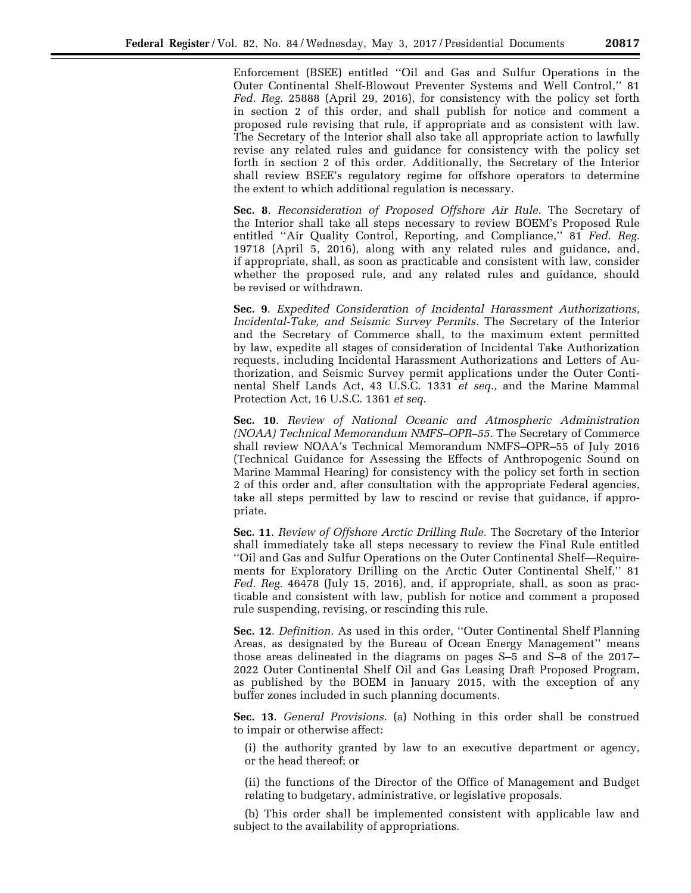Enforcement (BSEE) entitled ''Oil and Gas and Sulfur Operations in the Outer Continental Shelf-Blowout Preventer Systems and Well Control,'' 81 *Fed. Reg.* 25888 (April 29, 2016), for consistency with the policy set forth in section 2 of this order, and shall publish for notice and comment a proposed rule revising that rule, if appropriate and as consistent with law. The Secretary of the Interior shall also take all appropriate action to lawfully revise any related rules and guidance for consistency with the policy set forth in section 2 of this order. Additionally, the Secretary of the Interior shall review BSEE's regulatory regime for offshore operators to determine the extent to which additional regulation is necessary.

**Sec. 8**. *Reconsideration of Proposed Offshore Air Rule.* The Secretary of the Interior shall take all steps necessary to review BOEM's Proposed Rule entitled ''Air Quality Control, Reporting, and Compliance,'' 81 *Fed. Reg.*  19718 (April 5, 2016), along with any related rules and guidance, and, if appropriate, shall, as soon as practicable and consistent with law, consider whether the proposed rule, and any related rules and guidance, should be revised or withdrawn.

**Sec. 9**. *Expedited Consideration of Incidental Harassment Authorizations, Incidental-Take, and Seismic Survey Permits.* The Secretary of the Interior and the Secretary of Commerce shall, to the maximum extent permitted by law, expedite all stages of consideration of Incidental Take Authorization requests, including Incidental Harassment Authorizations and Letters of Authorization, and Seismic Survey permit applications under the Outer Continental Shelf Lands Act, 43 U.S.C. 1331 *et seq.,* and the Marine Mammal Protection Act, 16 U.S.C. 1361 *et seq.* 

**Sec. 10**. *Review of National Oceanic and Atmospheric Administration (NOAA) Technical Memorandum NMFS–OPR–55.* The Secretary of Commerce shall review NOAA's Technical Memorandum NMFS–OPR–55 of July 2016 (Technical Guidance for Assessing the Effects of Anthropogenic Sound on Marine Mammal Hearing) for consistency with the policy set forth in section 2 of this order and, after consultation with the appropriate Federal agencies, take all steps permitted by law to rescind or revise that guidance, if appropriate.

**Sec. 11**. *Review of Offshore Arctic Drilling Rule.* The Secretary of the Interior shall immediately take all steps necessary to review the Final Rule entitled ''Oil and Gas and Sulfur Operations on the Outer Continental Shelf—Requirements for Exploratory Drilling on the Arctic Outer Continental Shelf,'' 81 *Fed. Reg.* 46478 (July 15, 2016), and, if appropriate, shall, as soon as practicable and consistent with law, publish for notice and comment a proposed rule suspending, revising, or rescinding this rule.

**Sec. 12**. *Definition.* As used in this order, ''Outer Continental Shelf Planning Areas, as designated by the Bureau of Ocean Energy Management'' means those areas delineated in the diagrams on pages S–5 and S–8 of the 2017– 2022 Outer Continental Shelf Oil and Gas Leasing Draft Proposed Program, as published by the BOEM in January 2015, with the exception of any buffer zones included in such planning documents.

**Sec. 13**. *General Provisions.* (a) Nothing in this order shall be construed to impair or otherwise affect:

(i) the authority granted by law to an executive department or agency, or the head thereof; or

(ii) the functions of the Director of the Office of Management and Budget relating to budgetary, administrative, or legislative proposals.

(b) This order shall be implemented consistent with applicable law and subject to the availability of appropriations.